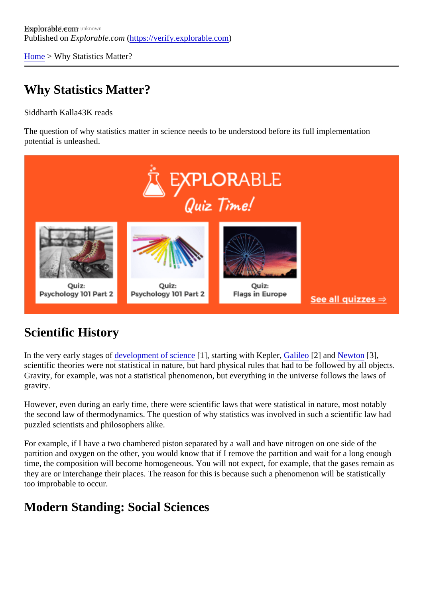[Home](https://verify.explorable.com/) > Why Statistics Matter?

## Why Statistics Matter?

Siddharth Kall<sup>4</sup>3K reads

The question of why statistics matter in science needs to be understood before its full implementation potential is unleashed.

## Scientific History

In the very early stages development of science], starting with KeplerGalileo[2] an[d Newton](https://verify.explorable.com/isaac-newton)[3], scientific theories were not statistical in nature, but hard physical rules that had to be followed by all object Gravity, for example, was not a statistical phenomenon, but everything in the universe follows the laws of gravity.

However, even during an early time, there were scientific laws that were statistical in nature, most notably the second law of thermodynamics. The question of why statistics was involved in such a scientific law had puzzled scientists and philosophers alike.

For example, if I have a two chambered piston separated by a wall and have nitrogen on one side of the partition and oxygen on the other, you would know that if I remove the partition and wait for a long enough time, the composition will become homogeneous. You will not expect, for example, that the gases remain they are or interchange their places. The reason for this is because such a phenomenon will be statisticall too improbable to occur.

## Modern Standing: Social Sciences